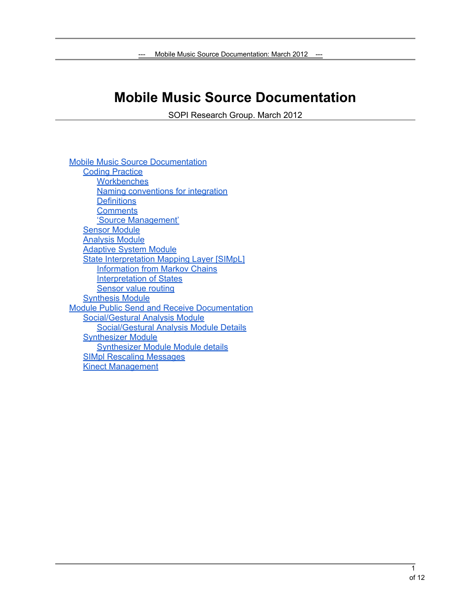# **Mobile Music Source Documentation**

SOPI Research Group. March 2012

Mobile Music Source Documentation [Coding](#page-1-0) [Practice](#page-1-0) **[Workbenches](#page-1-0)** [Naming](#page-1-0) [conventions](#page-1-0) [for](#page-1-0) [integration](#page-1-0) **[Definitions](#page-1-0) [Comments](#page-1-0)** ['Source](#page-1-0) [Management'](#page-1-0) [Sensor](#page-2-0) [Module](#page-2-0) [Analysis](#page-2-0) [Module](#page-2-0) [Adaptive](#page-2-0) [System](#page-2-0) [Module](#page-2-0) [State](#page-2-0) [Interpretation](#page-2-0) [Mapping](#page-2-0) [Layer \[SIMpL\]](#page-2-0) [Information](#page-2-0) [from](#page-2-0) [Markov](#page-2-0) [Chains](#page-2-0) [Interpretation](#page-2-0) [of](#page-2-0) [States](#page-2-0) [Sensor](#h.72ssutzaw37j) [value](#h.72ssutzaw37j) [routing](#h.72ssutzaw37j) [Synthesis](#page-3-0) [Module](#page-3-0) [Module](#page-4-0) [Public](#page-4-0) [Send](#page-4-0) [and](#page-4-0) [Receive](#page-4-0) [Documentation](#page-4-0) [Social/Gestural](#page-4-0) [Analysis](#page-4-0) [Module](#page-4-0) [Social/Gestural](#page-5-0) [Analysis](#page-5-0) [Module](#page-5-0) [Details](#page-5-0) **[Synthesizer](#page-7-0) [Module](#page-7-0)** [Synthesizer](#page-9-0) [Module](#page-9-0) [Module](#page-9-0) [details](#page-9-0) [SIMpl](#h.k51nr2tylhna) [Rescaling](#h.k51nr2tylhna) [Messages](#h.k51nr2tylhna) [Kinect](#page-10-0) [Management](#page-10-0)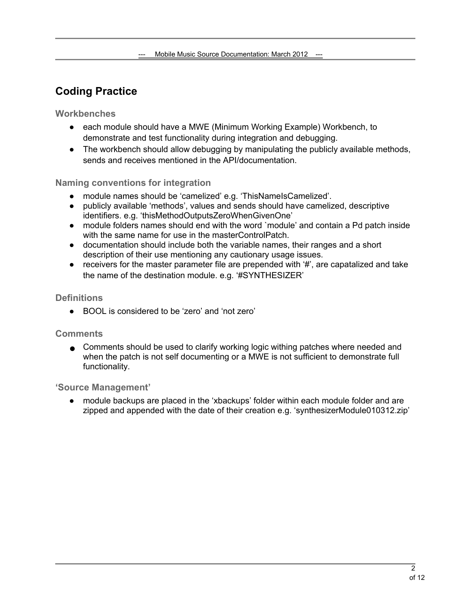## <span id="page-1-0"></span>**Coding Practice**

**Workbenches**

- each module should have a MWE (Minimum Working Example) Workbench, to demonstrate and test functionality during integration and debugging.
- The workbench should allow debugging by manipulating the publicly available methods, sends and receives mentioned in the API/documentation.

#### **Naming conventions for integration**

- module names should be 'camelized' e.g. 'ThisNameIsCamelized'.
- publicly available 'methods', values and sends should have camelized, descriptive identifiers. e.g. 'thisMethodOutputsZeroWhenGivenOne'
- module folders names should end with the word `module' and contain a Pd patch inside with the same name for use in the masterControlPatch.
- documentation should include both the variable names, their ranges and a short description of their use mentioning any cautionary usage issues.
- $\bullet$  receivers for the master parameter file are prepended with  $\sharp$ , are capatalized and take the name of the destination module. e.g. '#SYNTHESIZER'

#### **Definitions**

● BOOL is considered to be 'zero' and 'not zero'

#### **Comments**

● Comments should be used to clarify working logic withing patches where needed and when the patch is not self documenting or a MWE is not sufficient to demonstrate full functionality.

#### **'Source Management'**

● module backups are placed in the 'xbackups' folder within each module folder and are zipped and appended with the date of their creation e.g. 'synthesizerModule010312.zip'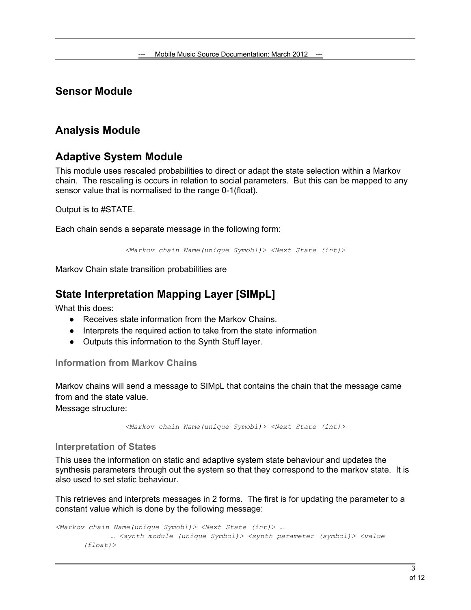## <span id="page-2-0"></span>**Sensor Module**

## **Analysis Module**

## **Adaptive System Module**

This module uses rescaled probabilities to direct or adapt the state selection within a Markov chain. The rescaling is occurs in relation to social parameters. But this can be mapped to any sensor value that is normalised to the range 0-1(float).

Output is to #STATE.

Each chain sends a separate message in the following form:

*<Markov chain Name(unique Symobl)> <Next State (int)>*

Markov Chain state transition probabilities are

## **State Interpretation Mapping Layer [SIMpL]**

What this does:

- Receives state information from the Markov Chains.
- Interprets the required action to take from the state information
- Outputs this information to the Synth Stuff layer.

#### **Information from Markov Chains**

Markov chains will send a message to SIMpL that contains the chain that the message came from and the state value. Message structure:

*<Markov chain Name(unique Symobl)> <Next State (int)>*

#### **Interpretation of States**

This uses the information on static and adaptive system state behaviour and updates the synthesis parameters through out the system so that they correspond to the markov state. It is also used to set static behaviour.

This retrieves and interprets messages in 2 forms. The first is for updating the parameter to a constant value which is done by the following message:

```
<Markov chain Name(unique Symobl)> <Next State (int)> … 
            … <synth module (unique Symbol)> <synth parameter (symbol)> <value 
       (float)>
```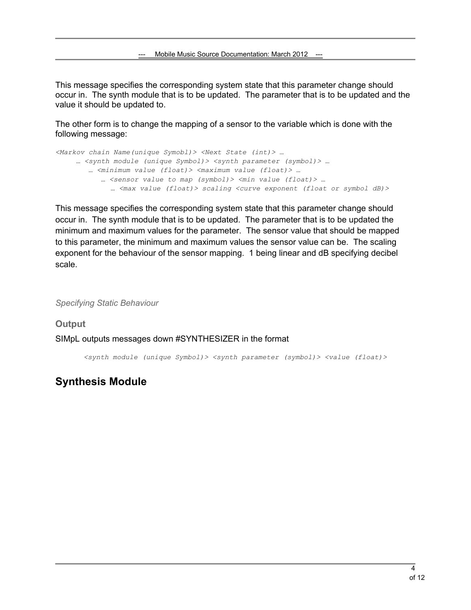<span id="page-3-0"></span>This message specifies the corresponding system state that this parameter change should occur in. The synth module that is to be updated. The parameter that is to be updated and the value it should be updated to.

The other form is to change the mapping of a sensor to the variable which is done with the following message:

```
<Markov chain Name(unique Symobl)> <Next State (int)> … 
     … <synth module (unique Symbol)> <synth parameter (symbol)> … 
         … <minimum value (float)> <maximum value (float)> … 
            … <sensor value to map (symbol)> <min value (float)> … 
             … <max value (float)> scaling <curve exponent (float or symbol dB)>
```
This message specifies the corresponding system state that this parameter change should occur in. The synth module that is to be updated. The parameter that is to be updated the minimum and maximum values for the parameter. The sensor value that should be mapped to this parameter, the minimum and maximum values the sensor value can be. The scaling exponent for the behaviour of the sensor mapping. 1 being linear and dB specifying decibel scale.

*Specifying Static Behaviour*

**Output** SIMpL outputs messages down #SYNTHESIZER in the format

*<synth module (unique Symbol)> <synth parameter (symbol)> <value (float)>*

### **Synthesis Module**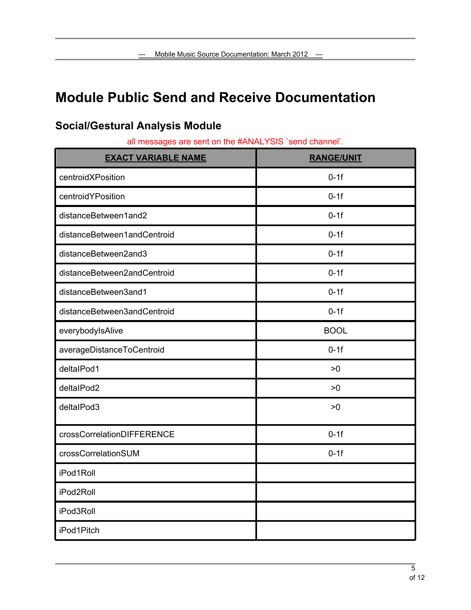# <span id="page-4-0"></span>**Module Public Send and Receive Documentation**

| <b>EXACT VARIABLE NAME</b>  | <b>RANGE/UNIT</b> |
|-----------------------------|-------------------|
| centroidXPosition           | $0-1f$            |
| centroidYPosition           | $0-1f$            |
| distanceBetween1and2        | $0-1f$            |
| distanceBetween1andCentroid | $0-1f$            |
| distanceBetween2and3        | $0-1f$            |
| distanceBetween2andCentroid | $0-1f$            |
| distanceBetween3and1        | $0-1f$            |
| distanceBetween3andCentroid | $0-1f$            |
| everybodylsAlive            | <b>BOOL</b>       |
| averageDistanceToCentroid   | $0-1f$            |
| deltalPod1                  | >0                |
| deltalPod2                  | >0                |
| deltalPod3                  | >0                |
| crossCorrelationDIFFERENCE  | $0-1f$            |
| crossCorrelationSUM         | $0-1f$            |
| iPod1Roll                   |                   |
| iPod2Roll                   |                   |
| iPod3Roll                   |                   |
| iPod1Pitch                  |                   |

# **Social/Gestural Analysis Module**

all messages are sent on the #ANALYSIS `send channel'.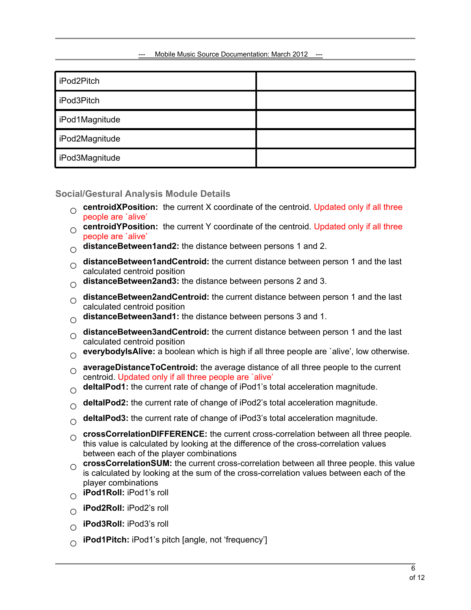<span id="page-5-0"></span>

| iPod2Pitch     |  |
|----------------|--|
| iPod3Pitch     |  |
| iPod1Magnitude |  |
| iPod2Magnitude |  |
| iPod3Magnitude |  |

**Social/Gestural Analysis Module Details**

- **O centroidXPosition:** the current X coordinate of the centroid. Updated only if all three neonle are jalive' people are `alive'
- **O centroidYPosition:** the current Y coordinate of the centroid. Updated only if all three neonle are jalive' people are `alive'
- **○ distanceBetween1and2:** the distance between persons 1 and 2.
- **distanceBetween1andCentroid:** the current distance between person 1 and the last<br>calculated centroid position calculated centroid position
- **○ distanceBetween2and3:** the distance between persons 2 and 3.
- **○ distanceBetween2andCentroid:** the current distance between person 1 and the last calculated centroid position
- **○ distanceBetween3and1:** the distance between persons 3 and 1.
- **○ distanceBetween3andCentroid:** the current distance between person 1 and the last calculated centroid position
- **○ everybodyIsAlive:** a boolean which is high if all three people are `alive', low otherwise.
- **○ averageDistanceToCentroid:** the average distance of all three people to the current centroid. Updated only if all three people are `alive'
- **○ deltaIPod1:** the current rate of change of iPod1's total acceleration magnitude.
- **○ deltaIPod2:** the current rate of change of iPod2's total acceleration magnitude.
- **○ deltaIPod3:** the current rate of change of iPod3's total acceleration magnitude.
- **○ crossCorrelationDIFFERENCE:** the current cross-correlation between all three people. this value is calculated by looking at the difference of the cross-correlation values between each of the player combinations
- **O crossCorrelationSUM:** the current cross-correlation between all three people. this value<br>
is calculated by looking at the sum of the cross-correlation values between each of the is calculated by looking at the sum of the cross-correlation values between each of the player combinations
- **○ iPod1Roll:** iPod1's roll
- **○ iPod2Roll:** iPod2's roll
- **○ iPod3Roll:** iPod3's roll
- **○ iPod1Pitch:** iPod1's pitch [angle, not 'frequency']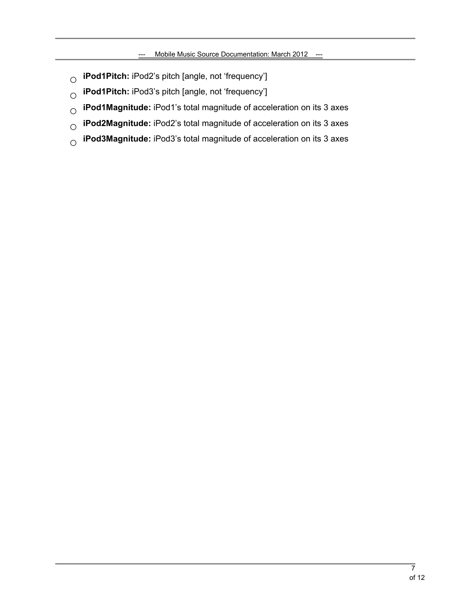- **○ iPod1Pitch:** iPod2's pitch [angle, not 'frequency']
- **○ iPod1Pitch:** iPod3's pitch [angle, not 'frequency']
- **○ iPod1Magnitude:** iPod1's total magnitude of acceleration on its 3 axes
- **○ iPod2Magnitude:** iPod2's total magnitude of acceleration on its 3 axes
- **○ iPod3Magnitude:** iPod3's total magnitude of acceleration on its 3 axes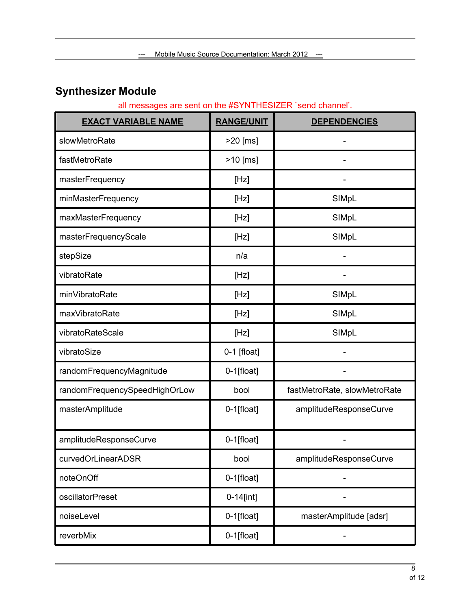# <span id="page-7-0"></span>**Synthesizer Module**

#### all messages are sent on the #SYNTHESIZER `send channel'.

| <b>EXACT VARIABLE NAME</b>    | <b>RANGE/UNIT</b> | <b>DEPENDENCIES</b>          |
|-------------------------------|-------------------|------------------------------|
| slowMetroRate                 | >20 [ms]          |                              |
| fastMetroRate                 | >10 [ms]          |                              |
| masterFrequency               | [Hz]              |                              |
| minMasterFrequency            | [Hz]              | SIMpL                        |
| maxMasterFrequency            | [Hz]              | SIMpL                        |
| masterFrequencyScale          | [Hz]              | SIMpL                        |
| stepSize                      | n/a               |                              |
| vibratoRate                   | [Hz]              |                              |
| minVibratoRate                | [Hz]              | SIMpL                        |
| maxVibratoRate                | [Hz]              | SIMpL                        |
| vibratoRateScale              | [Hz]              | SIMpL                        |
| vibratoSize                   | $0-1$ [float]     |                              |
| randomFrequencyMagnitude      | 0-1[float]        |                              |
| randomFrequencySpeedHighOrLow | bool              | fastMetroRate, slowMetroRate |
| masterAmplitude               | $0-1$ [float]     | amplitudeResponseCurve       |
| amplitudeResponseCurve        | 0-1[float]        |                              |
| curvedOrLinearADSR            | bool              | amplitudeResponseCurve       |
| noteOnOff                     | $0-1$ [float]     |                              |
| oscillatorPreset              | $0 - 14$ [int]    |                              |
| noiseLevel                    | $0-1$ [float]     | masterAmplitude [adsr]       |
| reverbMix                     | 0-1[float]        |                              |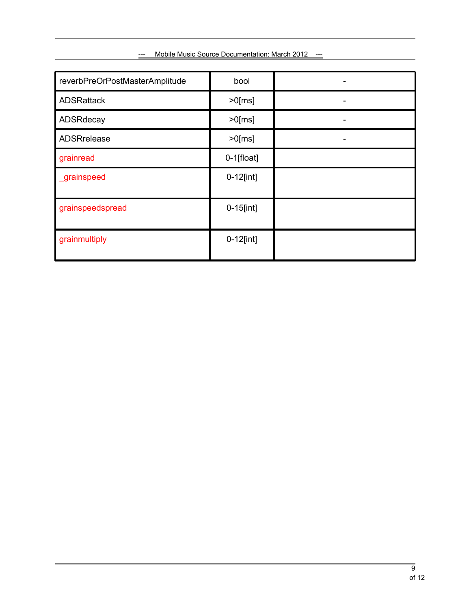| reverbPreOrPostMasterAmplitude | bool           |  |
|--------------------------------|----------------|--|
| <b>ADSRattack</b>              | $>0$ [ms]      |  |
| ADSRdecay                      | $>0$ [ms]      |  |
| ADSRrelease                    | $>0$ [ms]      |  |
| grainread                      | $0-1$ [float]  |  |
| <b>_grainspeed</b>             | $0-12$ [int]   |  |
| grainspeedspread               | $0 - 15$ [int] |  |
| grainmultiply                  | $0-12$ [int]   |  |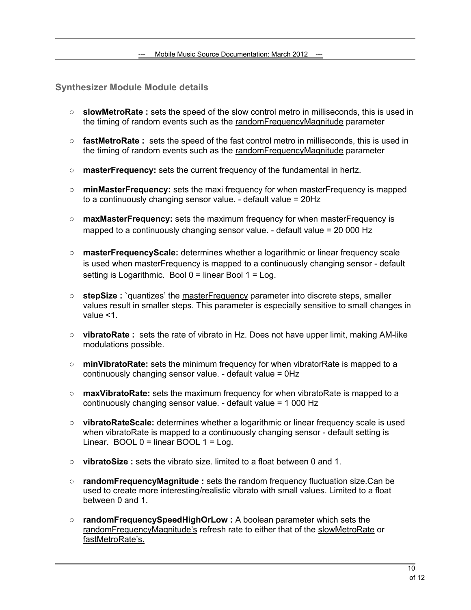<span id="page-9-0"></span>**Synthesizer Module Module details**

- **○ slowMetroRate :** sets the speed of the slow control metro in milliseconds, this is used in the timing of random events such as the randomFrequencyMagnitude parameter
- **○ fastMetroRate :** sets the speed of the fast control metro in milliseconds, this is used in the timing of random events such as the randomFrequencyMagnitude parameter
- **○ masterFrequency:** sets the current frequency of the fundamental in hertz.
- **○ minMasterFrequency:** sets the maxi frequency for when masterFrequency is mapped to a continuously changing sensor value. - default value = 20Hz
- **○ maxMasterFrequency:** sets the maximum frequency for when masterFrequency is mapped to a continuously changing sensor value. - default value = 20 000 Hz
- **○ masterFrequencyScale:** determines whether a logarithmic or linear frequency scale is used when masterFrequency is mapped to a continuously changing sensor - default setting is Logarithmic. Bool  $0 =$  linear Bool  $1 =$  Log.
- **○ stepSize :** `quantizes' the masterFrequency parameter into discrete steps, smaller values result in smaller steps. This parameter is especially sensitive to small changes in value <1.
- **○ vibratoRate :** sets the rate of vibrato in Hz. Does not have upper limit, making AM-like modulations possible.
- **○ minVibratoRate:** sets the minimum frequency for when vibratorRate is mapped to a continuously changing sensor value. - default value = 0Hz
- **○ maxVibratoRate:** sets the maximum frequency for when vibratoRate is mapped to a continuously changing sensor value. - default value = 1 000 Hz
- **○ vibratoRateScale:** determines whether a logarithmic or linear frequency scale is used when vibratoRate is mapped to a continuously changing sensor - default setting is Linear.  $BOOL 0 = linear BOOL 1 = Log$ .
- **○ vibratoSize :** sets the vibrato size. limited to a float between 0 and 1.
- **○ randomFrequencyMagnitude :** sets the random frequency fluctuation size.Can be used to create more interesting/realistic vibrato with small values. Limited to a float between 0 and 1
- **○ randomFrequencySpeedHighOrLow :** A boolean parameter which sets the randomFrequencyMagnitude's refresh rate to either that of the slowMetroRate or fastMetroRate's.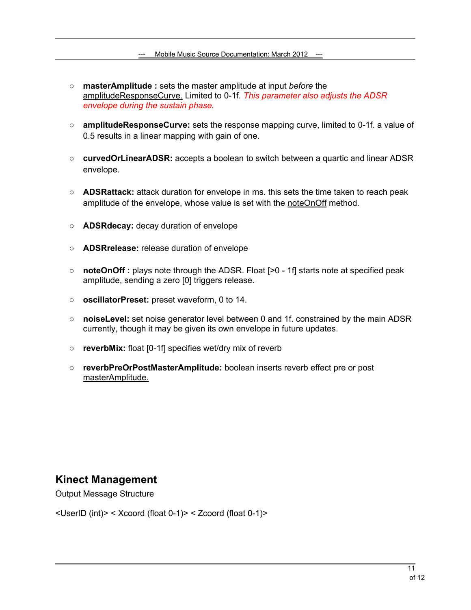- <span id="page-10-0"></span>**○ masterAmplitude :** sets the master amplitude at input *before* the amplitudeResponseCurve. Limited to 0-1f. *This parameter also adjusts the ADSR envelope during the sustain phase.*
- **○ amplitudeResponseCurve:** sets the response mapping curve, limited to 0-1f. a value of 0.5 results in a linear mapping with gain of one.
- **○ curvedOrLinearADSR:** accepts a boolean to switch between a quartic and linear ADSR envelope.
- **○ ADSRattack:** attack duration for envelope in ms. this sets the time taken to reach peak amplitude of the envelope, whose value is set with the noteOnOff method.
- **○ ADSRdecay:** decay duration of envelope
- **○ ADSRrelease:** release duration of envelope
- **○ noteOnOff :** plays note through the ADSR. Float [>0 1f] starts note at specified peak amplitude, sending a zero [0] triggers release.
- **○ oscillatorPreset:** preset waveform, 0 to 14.
- **○ noiseLevel:** set noise generator level between 0 and 1f. constrained by the main ADSR currently, though it may be given its own envelope in future updates.
- **○ reverbMix:** float [0-1f] specifies wet/dry mix of reverb
- **○ reverbPreOrPostMasterAmplitude:** boolean inserts reverb effect pre or post masterAmplitude.

### **Kinect Management**

Output Message Structure

<UserID (int)> < Xcoord (float 0-1)> < Zcoord (float 0-1)>